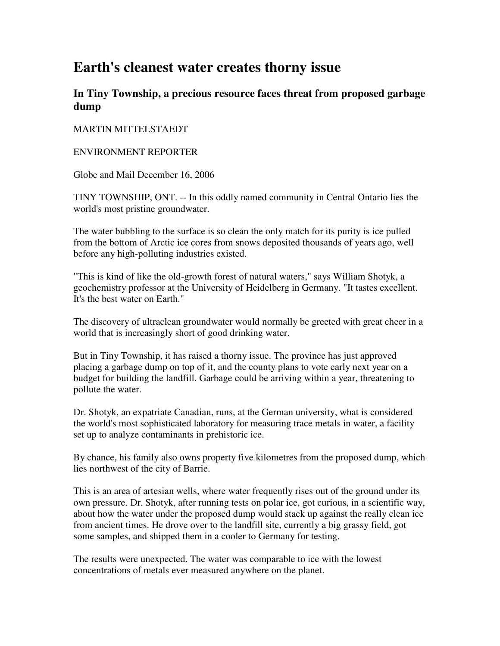## **Earth's cleanest water creates thorny issue**

## **In Tiny Township, a precious resource faces threat from proposed garbage dump**

## MARTIN MITTELSTAEDT

## ENVIRONMENT REPORTER

Globe and Mail December 16, 2006

TINY TOWNSHIP, ONT. -- In this oddly named community in Central Ontario lies the world's most pristine groundwater.

The water bubbling to the surface is so clean the only match for its purity is ice pulled from the bottom of Arctic ice cores from snows deposited thousands of years ago, well before any high-polluting industries existed.

"This is kind of like the old-growth forest of natural waters," says William Shotyk, a geochemistry professor at the University of Heidelberg in Germany. "It tastes excellent. It's the best water on Earth."

The discovery of ultraclean groundwater would normally be greeted with great cheer in a world that is increasingly short of good drinking water.

But in Tiny Township, it has raised a thorny issue. The province has just approved placing a garbage dump on top of it, and the county plans to vote early next year on a budget for building the landfill. Garbage could be arriving within a year, threatening to pollute the water.

Dr. Shotyk, an expatriate Canadian, runs, at the German university, what is considered the world's most sophisticated laboratory for measuring trace metals in water, a facility set up to analyze contaminants in prehistoric ice.

By chance, his family also owns property five kilometres from the proposed dump, which lies northwest of the city of Barrie.

This is an area of artesian wells, where water frequently rises out of the ground under its own pressure. Dr. Shotyk, after running tests on polar ice, got curious, in a scientific way, about how the water under the proposed dump would stack up against the really clean ice from ancient times. He drove over to the landfill site, currently a big grassy field, got some samples, and shipped them in a cooler to Germany for testing.

The results were unexpected. The water was comparable to ice with the lowest concentrations of metals ever measured anywhere on the planet.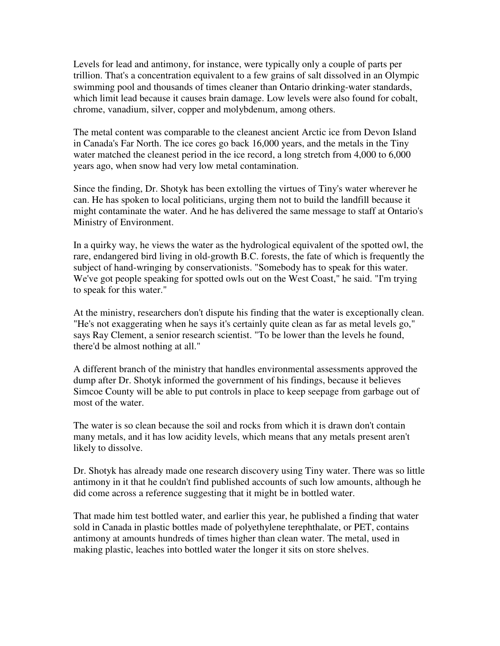Levels for lead and antimony, for instance, were typically only a couple of parts per trillion. That's a concentration equivalent to a few grains of salt dissolved in an Olympic swimming pool and thousands of times cleaner than Ontario drinking-water standards, which limit lead because it causes brain damage. Low levels were also found for cobalt, chrome, vanadium, silver, copper and molybdenum, among others.

The metal content was comparable to the cleanest ancient Arctic ice from Devon Island in Canada's Far North. The ice cores go back 16,000 years, and the metals in the Tiny water matched the cleanest period in the ice record, a long stretch from 4,000 to 6,000 years ago, when snow had very low metal contamination.

Since the finding, Dr. Shotyk has been extolling the virtues of Tiny's water wherever he can. He has spoken to local politicians, urging them not to build the landfill because it might contaminate the water. And he has delivered the same message to staff at Ontario's Ministry of Environment.

In a quirky way, he views the water as the hydrological equivalent of the spotted owl, the rare, endangered bird living in old-growth B.C. forests, the fate of which is frequently the subject of hand-wringing by conservationists. "Somebody has to speak for this water. We've got people speaking for spotted owls out on the West Coast," he said. "I'm trying to speak for this water."

At the ministry, researchers don't dispute his finding that the water is exceptionally clean. "He's not exaggerating when he says it's certainly quite clean as far as metal levels go," says Ray Clement, a senior research scientist. "To be lower than the levels he found, there'd be almost nothing at all."

A different branch of the ministry that handles environmental assessments approved the dump after Dr. Shotyk informed the government of his findings, because it believes Simcoe County will be able to put controls in place to keep seepage from garbage out of most of the water.

The water is so clean because the soil and rocks from which it is drawn don't contain many metals, and it has low acidity levels, which means that any metals present aren't likely to dissolve.

Dr. Shotyk has already made one research discovery using Tiny water. There was so little antimony in it that he couldn't find published accounts of such low amounts, although he did come across a reference suggesting that it might be in bottled water.

That made him test bottled water, and earlier this year, he published a finding that water sold in Canada in plastic bottles made of polyethylene terephthalate, or PET, contains antimony at amounts hundreds of times higher than clean water. The metal, used in making plastic, leaches into bottled water the longer it sits on store shelves.